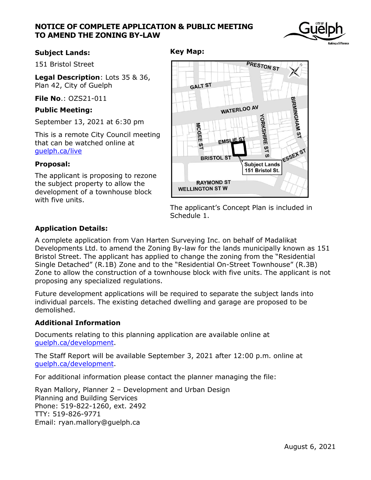# **NOTICE OF COMPLETE APPLICATION & PUBLIC MEETING TO AMEND THE ZONING BY-LAW**



### **Subject Lands:**

151 Bristol Street

**Legal Description**: Lots 35 & 36, Plan 42, City of Guelph

**File No**.: OZS21-011

### **Public Meeting:**

September 13, 2021 at 6:30 pm

This is a remote City Council meeting that can be watched online at [guelph.ca/live](file://///city.guelph.ca/ServiceAreas01$/IDE/Planning/CIRCULATION%20LISTS/DEVELOPMENT%20APPLICATIONS/Fountain%20St%2029-31/Notices/guelph.ca/live)

#### **Proposal:**

The applicant is proposing to rezone the subject property to allow the development of a townhouse block with five units.

### **Key Map:**



The applicant's Concept Plan is included in Schedule 1.

# **Application Details:**

A complete application from Van Harten Surveying Inc. on behalf of Madalikat Developments Ltd. to amend the Zoning By-law for the lands municipally known as 151 Bristol Street. The applicant has applied to change the zoning from the "Residential Single Detached" (R.1B) Zone and to the "Residential On-Street Townhouse" (R.3B) Zone to allow the construction of a townhouse block with five units. The applicant is not proposing any specialized regulations.

Future development applications will be required to separate the subject lands into individual parcels. The existing detached dwelling and garage are proposed to be demolished.

# **Additional Information**

Documents relating to this planning application are available online at [guelph.ca/development.](file://///city.guelph.ca/ServiceAreas01$/IDE/Planning/CIRCULATION%20LISTS/DEVELOPMENT%20APPLICATIONS/Fountain%20St%2029-31/Notices/guelph.ca/development)

The Staff Report will be available September 3, 2021 after 12:00 p.m. online at [guelph.ca/development.](file://///city.guelph.ca/ServiceAreas01$/IDE/Planning/CIRCULATION%20LISTS/DEVELOPMENT%20APPLICATIONS/Fountain%20St%2029-31/Notices/guelph.ca/development)

For additional information please contact the planner managing the file:

Ryan Mallory, Planner 2 – Development and Urban Design Planning and Building Services Phone: 519-822-1260, ext. 2492 TTY: 519-826-9771 Email: ryan.mallory@guelph.ca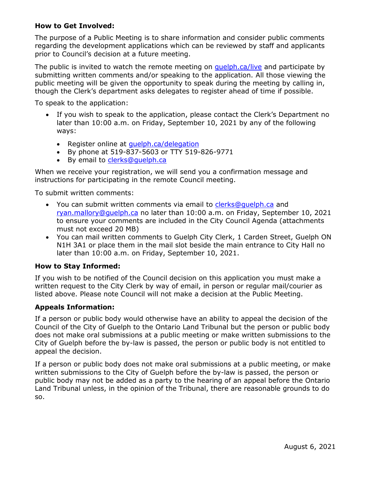# **How to Get Involved:**

The purpose of a Public Meeting is to share information and consider public comments regarding the development applications which can be reviewed by staff and applicants prior to Council's decision at a future meeting.

The public is invited to watch the remote meeting on [guelph.ca/live](http://guelph.ca/live) and participate by submitting written comments and/or speaking to the application. All those viewing the public meeting will be given the opportunity to speak during the meeting by calling in, though the Clerk's department asks delegates to register ahead of time if possible.

To speak to the application:

- If you wish to speak to the application, please contact the Clerk's Department no later than 10:00 a.m. on Friday, September 10, 2021 by any of the following ways:
	- Register online at quelph.ca/delegation
	- By phone at 519-837-5603 or TTY 519-826-9771
	- By email to clerks@quelph.ca

When we receive your registration, we will send you a confirmation message and instructions for participating in the remote Council meeting.

To submit written comments:

- You can submit written comments via email to [clerks@guelph.ca](mailto:clerks@guelph.ca) and [ryan.mallory@guelph.ca](mailto:ryan.mallory@guelph.ca) no later than 10:00 a.m. on Friday, September 10, 2021 to ensure your comments are included in the City Council Agenda (attachments must not exceed 20 MB)
- You can mail written comments to Guelph City Clerk, 1 Carden Street, Guelph ON N1H 3A1 or place them in the mail slot beside the main entrance to City Hall no later than 10:00 a.m. on Friday, September 10, 2021.

#### **How to Stay Informed:**

If you wish to be notified of the Council decision on this application you must make a written request to the City Clerk by way of email, in person or regular mail/courier as listed above. Please note Council will not make a decision at the Public Meeting.

#### **Appeals Information:**

If a person or public body would otherwise have an ability to appeal the decision of the Council of the City of Guelph to the Ontario Land Tribunal but the person or public body does not make oral submissions at a public meeting or make written submissions to the City of Guelph before the by-law is passed, the person or public body is not entitled to appeal the decision.

If a person or public body does not make oral submissions at a public meeting, or make written submissions to the City of Guelph before the by-law is passed, the person or public body may not be added as a party to the hearing of an appeal before the Ontario Land Tribunal unless, in the opinion of the Tribunal, there are reasonable grounds to do so.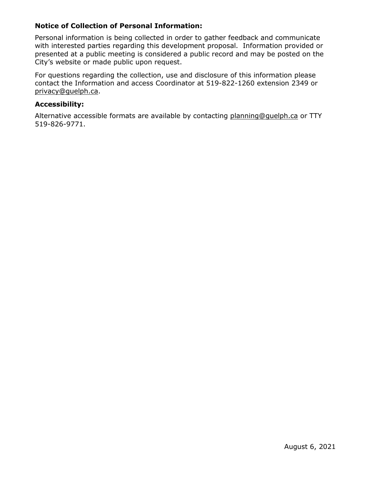# **Notice of Collection of Personal Information:**

Personal information is being collected in order to gather feedback and communicate with interested parties regarding this development proposal. Information provided or presented at a public meeting is considered a public record and may be posted on the City's website or made public upon request.

For questions regarding the collection, use and disclosure of this information please contact the Information and access Coordinator at 519-822-1260 extension 2349 or [privacy@guelph.ca.](mailto:privacy@guelph.ca)

### **Accessibility:**

Alternative accessible formats are available by contacting [planning@guelph.ca](mailto:planning@guelph.ca) or TTY 519-826-9771.